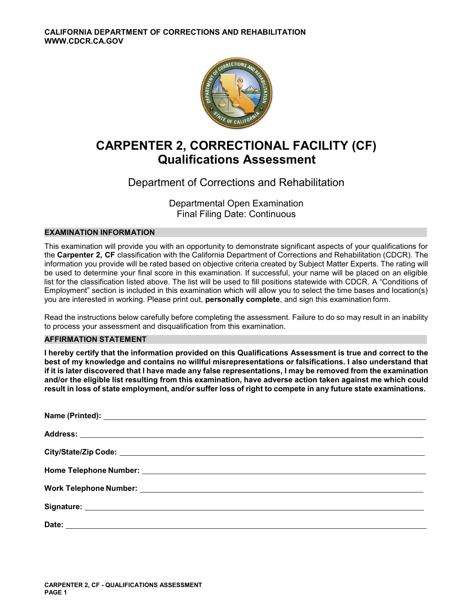

## **CARPENTER 2, CORRECTIONAL FACILITY (CF) Qualifications Assessment**

## Department of Corrections and Rehabilitation

Departmental Open Examination Final Filing Date: Continuous

### **EXAMINATION INFORMATION**

This examination will provide you with an opportunity to demonstrate significant aspects of your qualifications for the **Carpenter 2, CF** classification with the California Department of Corrections and Rehabilitation (CDCR). The information you provide will be rated based on objective criteria created by Subject Matter Experts. The rating will be used to determine your final score in this examination. If successful, your name will be placed on an eligible list for the classification listed above. The list will be used to fill positions statewide with CDCR. A "Conditions of Employment" section is included in this examination which will allow you to select the time bases and location(s) you are interested in working. Please print out, **personally complete**, and sign this examination form.

Read the instructions below carefully before completing the assessment. Failure to do so may result in an inability to process your assessment and disqualification from this examination.

#### **AFFIRMATION STATEMENT**

**I hereby certify that the information provided on this Qualifications Assessment is true and correct to the best of my knowledge and contains no willful misrepresentations or falsifications. I also understand that if it is later discovered that I have made any false representations, I may be removed from the examination and/or the eligible list resulting from this examination, have adverse action taken against me which could result in loss of state employment, and/or suffer loss of right to compete in any future state examinations.**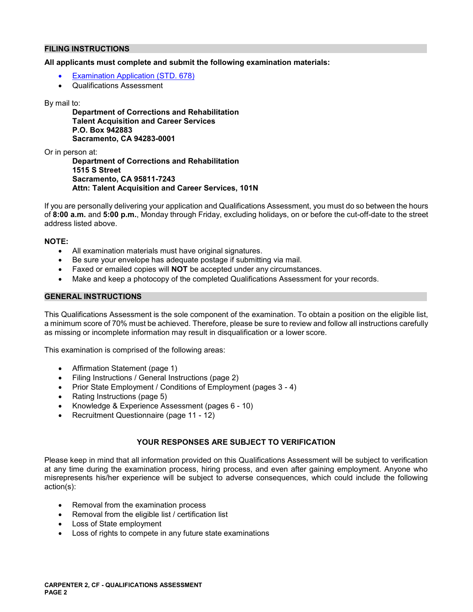#### **FILING INSTRUCTIONS**

#### **All applicants must complete and submit the following examination materials:**

- [Examination Application \(STD. 678\)](https://jobs.ca.gov/pdf/STD678.pdf)
- Qualifications Assessment

#### By mail to:

**Department of Corrections and Rehabilitation Talent Acquisition and Career Services P.O. Box 942883 Sacramento, CA 94283-0001** 

Or in person at:

**Department of Corrections and Rehabilitation 1515 S Street Sacramento, CA 95811-7243 Attn: Talent Acquisition and Career Services, 101N** 

If you are personally delivering your application and Qualifications Assessment, you must do so between the hours of **8:00 a.m.** and **5:00 p.m.**, Monday through Friday, excluding holidays, on or before the cut-off-date to the street address listed above.

#### **NOTE:**

- All examination materials must have original signatures.
- Be sure your envelope has adequate postage if submitting via mail.
- Faxed or emailed copies will **NOT** be accepted under any circumstances.
- Make and keep a photocopy of the completed Qualifications Assessment for your records.

#### **GENERAL INSTRUCTIONS**

This Qualifications Assessment is the sole component of the examination. To obtain a position on the eligible list, a minimum score of 70% must be achieved. Therefore, please be sure to review and follow all instructions carefully as missing or incomplete information may result in disqualification or a lower score.

This examination is comprised of the following areas:

- Affirmation Statement (page 1)
- Filing Instructions / General Instructions (page 2)
- Prior State Employment / Conditions of Employment (pages 3 4)
- Rating Instructions (page 5)
- Knowledge & Experience Assessment (pages 6 10)
- Recruitment Questionnaire (page 11 12)

### **YOUR RESPONSES ARE SUBJECT TO VERIFICATION**

Please keep in mind that all information provided on this Qualifications Assessment will be subject to verification at any time during the examination process, hiring process, and even after gaining employment. Anyone who misrepresents his/her experience will be subject to adverse consequences, which could include the following action(s):

- Removal from the examination process
- Removal from the eligible list / certification list
- Loss of State employment
- Loss of rights to compete in any future state examinations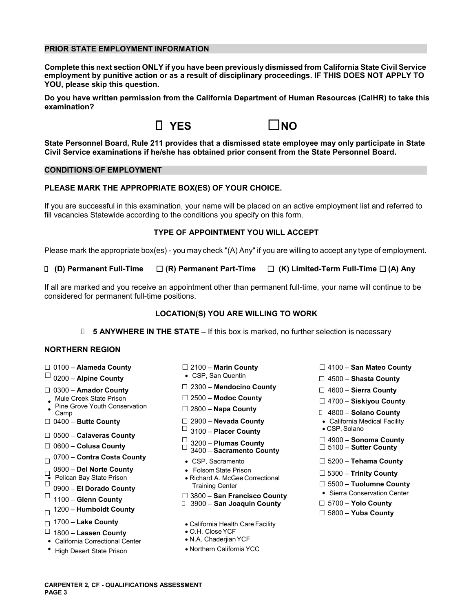#### **PRIOR STATE EMPLOYMENT INFORMATION**

**Complete this next section ONLY if you have been previously dismissed from California State Civil Service employment by punitive action or as a result of disciplinary proceedings. IF THIS DOES NOT APPLY TO YOU, please skip this question.** 

**Do you have written permission from the California Department of Human Resources (CalHR) to take this examination?** 



**State Personnel Board, Rule 211 provides that a dismissed state employee may only participate in State Civil Service examinations if he/she has obtained prior consent from the State Personnel Board.** 

#### **CONDITIONS OF EMPLOYMENT**

#### **PLEASE MARK THE APPROPRIATE BOX(ES) OF YOUR CHOICE.**

If you are successful in this examination, your name will be placed on an active employment list and referred to fill vacancies Statewide according to the conditions you specify on this form.

#### **TYPE OF APPOINTMENT YOU WILL ACCEPT**

Please mark the appropriate box(es) - you may check "(A) Any" if you are willing to accept any type of employment.

☐ **(D) Permanent Full-Time** ☐ **(R) Permanent Part-Time** ☐ **(K) Limited-Term Full-Time** ☐ **(A) Any** 

If all are marked and you receive an appointment other than permanent full-time, your name will continue to be considered for permanent full-time positions.

#### **LOCATION(S) YOU ARE WILLING TO WORK**

**□ 5 ANYWHERE IN THE STATE –** If this box is marked, no further selection is necessary

#### **NORTHERN REGION**

- 
- ☐ 0200 **Alpine County**  CSP, San Quentin ☐ 4500 **Shasta County**
- 
- Mule Creek State Prison  $□$  2500 **Modoc County**  $□$  **4700 Siskiyou County**<br>Pine Grove Youth Conservation  $□$  2800 **Napa County**  $□$  4800 **Salane County** ■ Pine Grove Fouth Conservation **□ 2800 – Napa County Depay ■ 1800 – Solano County □** 4800 – Solano County
- 
- 
- 
- **Colusa County** ☐ ☐ 5100 **Sutter County** 3400 **Sacramento County** 0700 **Contra Costa County** ☐ CSP, Sacramento ☐ 5200 **Tehama County**
- 
- 
- 
- 
- 
- 
- ☐ 1800 **Lassen County**  O.H. Close YCF
- California Correctional Center
- 
- 
- 
- ☐ <sup>2300</sup>**Mendocino County** 0300 **Amador County** ☐ ☐ 4600 **Sierra County** 
	-
	-
	-
	- $\Box$  3100 Placer County
- ☐ 0500 **Calaveras County** ☐ 4900 **Sonoma County** ☐ 0600 3200 **Plumas County** ☐
	-
	-
- 0800 **Del Norte County**  Folsom State Prison ☐ ☐ 5300 **Trinity County**  Pelican Bay State Prison Richard A. McGee Correctional ☐ ☐ 5500 – **Tuolumne County** 0900 – **El Dorado County** Training Center
- ☐ Sierra Conservation Center ☐ 3800 **San Francisco County** 1100 **Glenn County** ☐ 3900 **San Joaquin County** ☐ 5700 **Yolo County** 1200 ☐ **Humboldt County** ☐ 5800 **Yuba County** 
	-
- ☐ 1700 **Lake County**  California Health Care Facility
	-
	-
- High Desert State Prison **CALC 19 COVER 1999** Northern California YCC
- ☐ 0100 **Alameda County** ☐ 2100 **Marin County** ☐ 4100 **San Mateo County** 
	-
	-
	-
	-
- ☐ 0400 **Butte County** ☐ 2900 **Nevada County**  California Medical Facility
	-
	-
	-
	-
	-
	-
	-
	-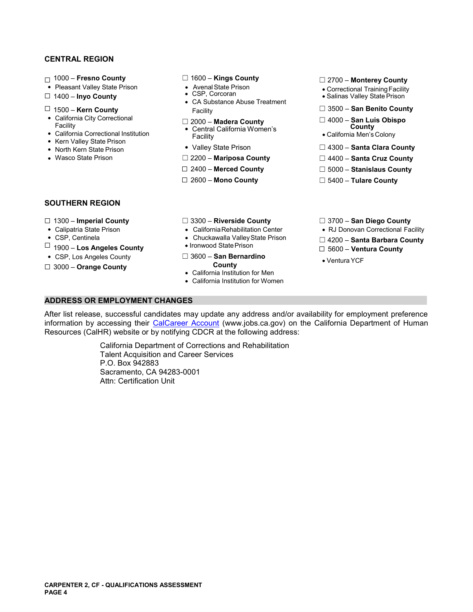### **CENTRAL REGION**

- 
- 
- 
- 
- 
- 
- Kern Valley State Prison<br>• North Kern State Prison
- 
- 
- 
- 
- 
- ☐ 1500 **Kern County** Facility ☐ 3500 **San Benito County** 
	-
	-
	-
	-
	-
	-
- 
- ☐ 1000 **Fresno County** ☐ 1600 **Kings County** ☐ 2700 **Monterey County**  Pleasant Valley State Prison Avenal State Prison Correctional Training Facility
- ☐ 1400 **Inyo County**  CSP, Corcoran Salinas Valley State Prison CA Substance Abuse Treatment
	-
- California City Correctional ☐ 2000 **Madera County** ☐ 4000 **San Luis Obispo** Facility Central California Women's **County** California Correctional Institution Facility California Men's Colony
	-
	- Valley State Prison **□ 4300 Santa Clara County**
- Wasco State Prison **DEMALL COUNT IN THE 2200 Mariposa County** DEMALL 4400 Santa Cruz County
	- ☐ 2400 **Merced County** ☐ 5000 **Stanislaus County**
	- ☐ 2600 **Mono County** ☐ 5400 **Tulare County**

#### **SOUTHERN REGION**

- 
- 
- 
- CSP, Centinela **Chuckawalla Valley State Prison** <del></del> **□ 4200 Santa Barbara County**<br>□ 1900 **Los Angeles County Ironwood State Prison □ 5600 Ventura County <br>● CSP, Los Angeles County 3600 <b>San Bernardino**
- 
- ☐ 3000 **Orange County County**
- 
- ☐ 1300 **Imperial County** ☐ 3300 **Riverside County** ☐ 3700 **San Diego County** 
	-
	-
- CSP, Los Angeles County **◯ 3600 San Bernardino** Ventura YCF<br>□ 3000 Orange County **County County** 
	- California Institution for Men
	- California Institution for Women
- 
- Calipatria State Prison CaliforniaRehabilitation Center RJ Donovan Correctional Facility
	-
	-
	-

### **ADDRESS OR EMPLOYMENT CHANGES**

After list release, successful candidates may update any address and/or availability for employment preference information by accessing their [CalCareer Account](https://www.jobs.ca.gov/) (www.jobs.ca.gov) on the California Department of Human Resources (CalHR) website or by notifying CDCR at the following address:

> California Department of Corrections and Rehabilitation Talent Acquisition and Career Services P.O. Box 942883 Sacramento, CA 94283-0001 Attn: Certification Unit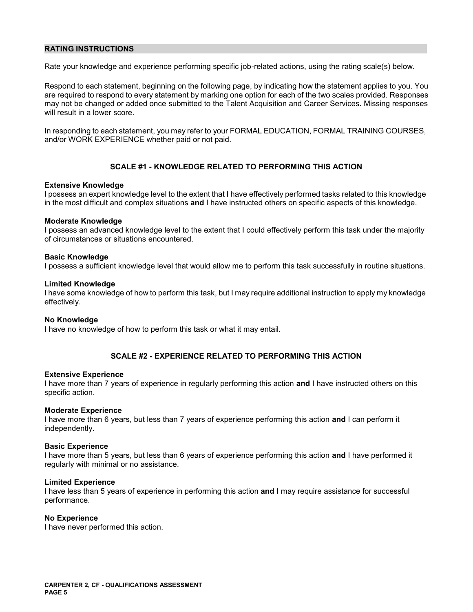#### **RATING INSTRUCTIONS**

Rate your knowledge and experience performing specific job-related actions, using the rating scale(s) below.

Respond to each statement, beginning on the following page, by indicating how the statement applies to you. You are required to respond to every statement by marking one option for each of the two scales provided. Responses may not be changed or added once submitted to the Talent Acquisition and Career Services. Missing responses will result in a lower score.

In responding to each statement, you may refer to your FORMAL EDUCATION, FORMAL TRAINING COURSES, and/or WORK EXPERIENCE whether paid or not paid.

#### **SCALE #1 - KNOWLEDGE RELATED TO PERFORMING THIS ACTION**

#### **Extensive Knowledge**

I possess an expert knowledge level to the extent that I have effectively performed tasks related to this knowledge in the most difficult and complex situations **and** I have instructed others on specific aspects of this knowledge.

#### **Moderate Knowledge**

I possess an advanced knowledge level to the extent that I could effectively perform this task under the majority of circumstances or situations encountered.

#### **Basic Knowledge**

I possess a sufficient knowledge level that would allow me to perform this task successfully in routine situations.

#### **Limited Knowledge**

I have some knowledge of how to perform this task, but I may require additional instruction to apply my knowledge effectively.

#### **No Knowledge**

I have no knowledge of how to perform this task or what it may entail.

#### **SCALE #2 - EXPERIENCE RELATED TO PERFORMING THIS ACTION**

#### **Extensive Experience**

I have more than 7 years of experience in regularly performing this action **and** I have instructed others on this specific action.

#### **Moderate Experience**

I have more than 6 years, but less than 7 years of experience performing this action **and** I can perform it independently.

#### **Basic Experience**

I have more than 5 years, but less than 6 years of experience performing this action **and** I have performed it regularly with minimal or no assistance.

#### **Limited Experience**

I have less than 5 years of experience in performing this action **and** I may require assistance for successful performance.

#### **No Experience**

I have never performed this action.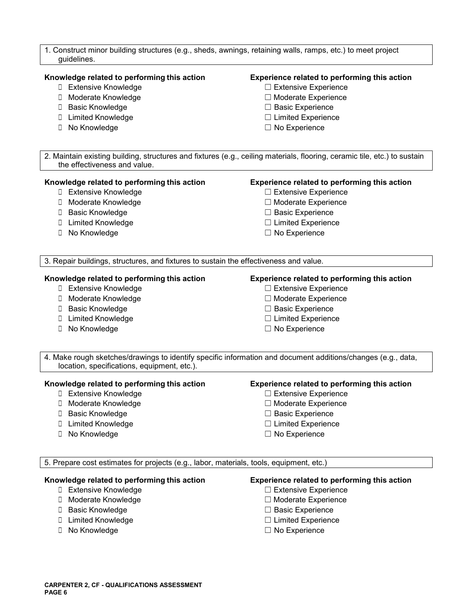| 1. Construct minor building structures (e.g., sheds, awnings, retaining walls, ramps, etc.) to meet project<br>guidelines.                                                      |                                                                                                                                                                                      |  |
|---------------------------------------------------------------------------------------------------------------------------------------------------------------------------------|--------------------------------------------------------------------------------------------------------------------------------------------------------------------------------------|--|
| Knowledge related to performing this action<br>□ Extensive Knowledge<br>□ Moderate Knowledge<br>□ Basic Knowledge<br>□ Limited Knowledge<br>□ No Knowledge                      | Experience related to performing this action<br>□ Extensive Experience<br>□ Moderate Experience<br>$\Box$ Basic Experience<br>$\Box$ Limited Experience<br>$\Box$ No Experience      |  |
| the effectiveness and value.                                                                                                                                                    | 2. Maintain existing building, structures and fixtures (e.g., ceiling materials, flooring, ceramic tile, etc.) to sustain                                                            |  |
| Knowledge related to performing this action<br><b>D</b> Extensive Knowledge<br>□ Moderate Knowledge<br>□ Basic Knowledge<br>□ Limited Knowledge<br>□ No Knowledge               | Experience related to performing this action<br>□ Extensive Experience<br>□ Moderate Experience<br>□ Basic Experience<br>$\Box$ Limited Experience<br>$\Box$ No Experience           |  |
| 3. Repair buildings, structures, and fixtures to sustain the effectiveness and value.                                                                                           |                                                                                                                                                                                      |  |
| Knowledge related to performing this action<br><b>D</b> Extensive Knowledge<br>□ Moderate Knowledge<br>□ Basic Knowledge<br>□ Limited Knowledge<br>□ No Knowledge               | Experience related to performing this action<br>$\Box$ Extensive Experience<br>□ Moderate Experience<br>$\Box$ Basic Experience<br>$\Box$ Limited Experience<br>$\Box$ No Experience |  |
| location, specifications, equipment, etc.).                                                                                                                                     | 4. Make rough sketches/drawings to identify specific information and document additions/changes (e.g., data,                                                                         |  |
| Knowledge related to performing this action<br>Extensive Knowledge<br>Moderate Knowledge<br><b>Basic Knowledge</b><br>u.<br><b>Limited Knowledge</b><br>u.<br>No Knowledge<br>Ш | Experience related to performing this action<br>□ Extensive Experience<br>□ Moderate Experience<br>$\Box$ Basic Experience<br>$\Box$ Limited Experience<br>$\Box$ No Experience      |  |
| 5. Prepare cost estimates for projects (e.g., labor, materials, tools, equipment, etc.)                                                                                         |                                                                                                                                                                                      |  |
| Knowledge related to performing this action<br>□ Extensive Knowledge<br>□ Moderate Knowledge<br><b>Basic Knowledge</b><br>U.<br><b>I</b> Limited Knowledge                      | Experience related to performing this action<br>□ Extensive Experience<br>□ Moderate Experience<br>$\Box$ Basic Experience<br>$\Box$ Limited Experience                              |  |

☐ No Knowledge ☐ No Experience

#### **CARPENTER 2, CF - QUALIFICATIONS ASSESSMENT PAGE 6**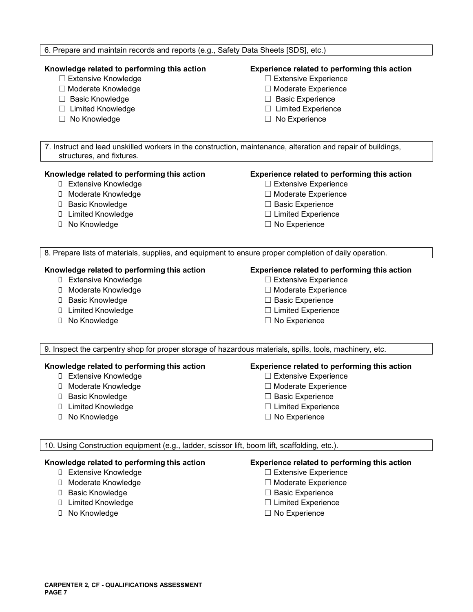## **Knowledge related to performing this action Experience related to performing this action**  ☐ Extensive Knowledge ☐ Extensive Experience ☐ Moderate Knowledge ☐ Moderate Experience ☐ Basic Knowledge ☐ Basic Experience ☐ Limited Knowledge ☐ Limited Experience ☐ No Knowledge ☐ No Experience 7. Instruct and lead unskilled workers in the construction, maintenance, alteration and repair of buildings, structures, and fixtures. **Knowledge related to performing this action Experience related to performing this action**  ☐ Extensive Knowledge ☐ Extensive Experience ☐ Moderate Knowledge ☐ Moderate Experience ☐ Basic Knowledge ☐ Basic Experience ☐ Limited Knowledge ☐ Limited Experience ☐ No Knowledge ☐ No Experience 8. Prepare lists of materials, supplies, and equipment to ensure proper completion of daily operation. **Knowledge related to performing this action Experience related to performing this action □ Extensive Knowledge 
■ Extensive Experience** ☐ Moderate Knowledge ☐ Moderate Experience ☐ Basic Knowledge ☐ Basic Experience **□** Limited Knowledge **D** Limited Experience ☐ No Knowledge ☐ No Experience 9. Inspect the carpentry shop for proper storage of hazardous materials, spills, tools, machinery, etc. **Knowledge related to performing this action Experience related to performing this action**  ☐ Extensive Knowledge ☐ Extensive Experience ☐ Moderate Knowledge ☐ Moderate Experience ☐ Basic Knowledge ☐ Basic Experience ☐ Limited Knowledge ☐ Limited Experience ☐ No Knowledge ☐ No Experience 10. Using Construction equipment (e.g., ladder, scissor lift, boom lift, scaffolding, etc.). **Knowledge related to performing this action Experience related to performing this action**  ☐ Extensive Knowledge ☐ Extensive Experience ☐ Moderate Knowledge ☐ Moderate Experience ☐ Basic Knowledge ☐ Basic Experience ☐ Limited Knowledge ☐ Limited Experience ☐ No Knowledge ☐ No Experience

6. Prepare and maintain records and reports (e.g., Safety Data Sheets [SDS], etc.)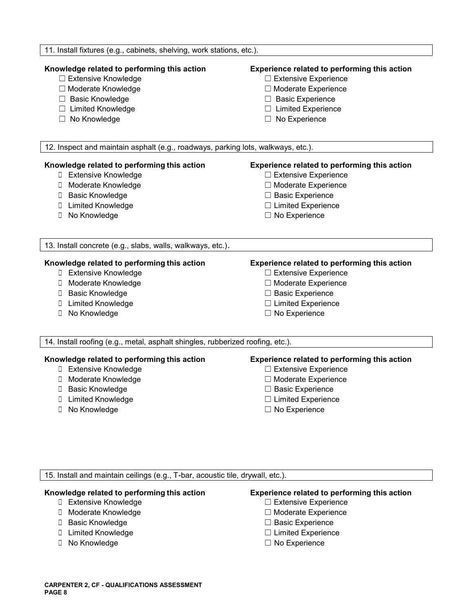| 11. Install fixtures (e.g., cabinets, shelving, work stations, etc.).                                                                                                 |                                                                                                                                                                            |  |
|-----------------------------------------------------------------------------------------------------------------------------------------------------------------------|----------------------------------------------------------------------------------------------------------------------------------------------------------------------------|--|
| Knowledge related to performing this action<br>□ Extensive Knowledge<br>□ Moderate Knowledge<br>□ Basic Knowledge<br>□ Limited Knowledge<br>□ No Knowledge            | Experience related to performing this action<br>□ Extensive Experience<br>□ Moderate Experience<br>□ Basic Experience<br>□ Limited Experience<br>$\Box$ No Experience      |  |
| 12. Inspect and maintain asphalt (e.g., roadways, parking lots, walkways, etc.).                                                                                      |                                                                                                                                                                            |  |
| Knowledge related to performing this action<br>□ Extensive Knowledge<br>□ Moderate Knowledge<br><b>D</b> Basic Knowledge<br>□ Limited Knowledge<br>□ No Knowledge     | Experience related to performing this action<br>□ Extensive Experience<br>□ Moderate Experience<br>□ Basic Experience<br>$\Box$ Limited Experience<br>$\Box$ No Experience |  |
| 13. Install concrete (e.g., slabs, walls, walkways, etc.).                                                                                                            |                                                                                                                                                                            |  |
| Knowledge related to performing this action<br><b>D</b> Extensive Knowledge<br>□ Moderate Knowledge<br>□ Basic Knowledge<br>□ Limited Knowledge<br>No Knowledge<br>Π. | Experience related to performing this action<br>□ Extensive Experience<br>□ Moderate Experience<br>□ Basic Experience<br>□ Limited Experience<br>$\Box$ No Experience      |  |
| 14. Install roofing (e.g., metal, asphalt shingles, rubberized roofing, etc.).                                                                                        |                                                                                                                                                                            |  |
| Knowledge related to performing this action<br>□ Extensive Knowledge<br>□ Moderate Knowledge<br>□ Basic Knowledge<br>□ Limited Knowledge<br>No Knowledge<br>0         | Experience related to performing this action<br>□ Extensive Experience<br>□ Moderate Experience<br>□ Basic Experience<br>$\Box$ Limited Experience<br>$\Box$ No Experience |  |

15. Install and maintain ceilings (e.g., T-bar, acoustic tile, drywall, etc.).

- 
- ☐ Moderate Knowledge ☐ Moderate Experience
- 
- 
- ☐ No Knowledge ☐ No Experience

### **Knowledge related to performing this action Experience related to performing this action**

- ☐ Extensive Knowledge ☐ Extensive Experience
	-
- ☐ Basic Knowledge ☐ Basic Experience
- ☐ Limited Knowledge ☐ Limited Experience
	-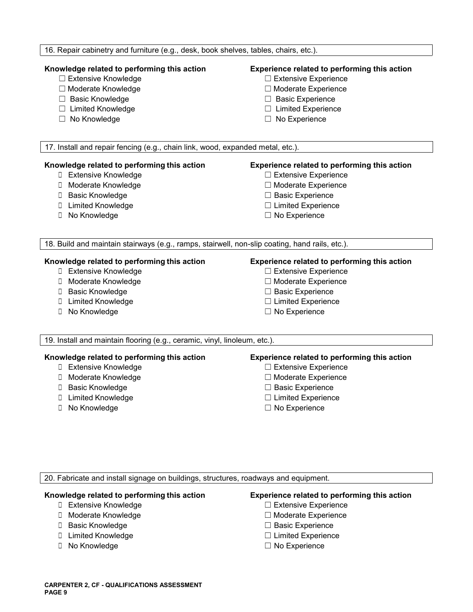#### 16. Repair cabinetry and furniture (e.g., desk, book shelves, tables, chairs, etc.).

- ☐ Extensive Knowledge ☐ Extensive Experience
- ☐ Moderate Knowledge ☐ Moderate Experience
- ☐ Basic Knowledge ☐ Basic Experience
- ☐ Limited Knowledge ☐ Limited Experience
- 

### **Knowledge related to performing this action Experience related to performing this action**

- 
- 
- 
- 
- ☐ No Knowledge ☐ No Experience

17. Install and repair fencing (e.g., chain link, wood, expanded metal, etc.).

#### **Knowledge related to performing this action Experience related to performing this action**

- ☐ Extensive Knowledge ☐ Extensive Experience
- ☐ Moderate Knowledge ☐ Moderate Experience
- 
- ☐ Limited Knowledge ☐ Limited Experience
- 

- 
- 
- ☐ Basic Knowledge ☐ Basic Experience
	-
- ☐ No Knowledge ☐ No Experience

18. Build and maintain stairways (e.g., ramps, stairwell, non-slip coating, hand rails, etc.).

- ☐ Extensive Knowledge ☐ Extensive Experience
- ☐ Moderate Knowledge ☐ Moderate Experience
- 
- 
- ☐ No Knowledge ☐ No Experience

#### **Knowledge related to performing this action Experience related to performing this action**

- 
- 
- ☐ Basic Knowledge ☐ Basic Experience
- ☐ Limited Knowledge ☐ Limited Experience
	-

19. Install and maintain flooring (e.g., ceramic, vinyl, linoleum, etc.).

#### **Knowledge related to performing this action Experience related to performing this action**

- ☐ Extensive Knowledge ☐ Extensive Experience
- ☐ Moderate Knowledge ☐ Moderate Experience
- ☐ Basic Knowledge ☐ Basic Experience
- ☐ Limited Knowledge ☐ Limited Experience
- ☐ No Knowledge ☐ No Experience

- 
- 
- 
- 
- 

20. Fabricate and install signage on buildings, structures, roadways and equipment.

#### **Knowledge related to performing this action Experience related to performing this action**

- ☐ Extensive Knowledge ☐ Extensive Experience
- ☐ Moderate Knowledge ☐ Moderate Experience
- ☐ Basic Knowledge ☐ Basic Experience
- **□** Limited Knowledge **D** Limited Experience
- ☐ No Knowledge ☐ No Experience

- 
- 
- 
- 
-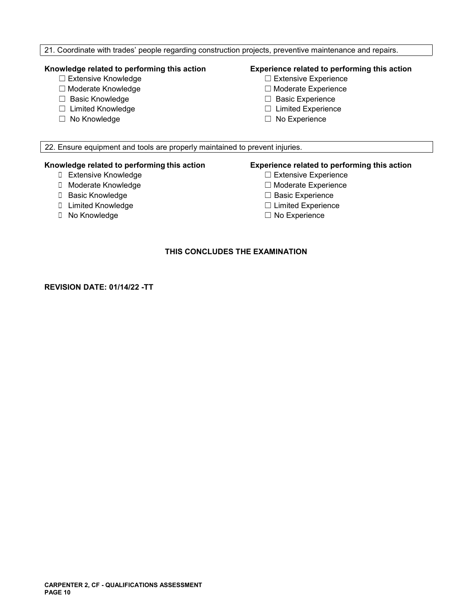### 21. Coordinate with trades' people regarding construction projects, preventive maintenance and repairs.

- 
- ☐ Moderate Knowledge ☐ Moderate Experience
- 
- 
- ☐ No Knowledge ☐ No Experience

### **Knowledge related to performing this action Experience related to performing this action**

- ☐ Extensive Knowledge ☐ Extensive Experience
	-
- ☐ Basic Knowledge ☐ Basic Experience
- ☐ Limited Knowledge ☐ Limited Experience
	-

22. Ensure equipment and tools are properly maintained to prevent injuries.

- 
- 
- 
- ☐ Limited Knowledge ☐ Limited Experience
- 

# **Knowledge related to performing this action Experience related to performing this action**

- □ Extensive Experience
- ☐ Moderate Knowledge ☐ Moderate Experience
- ☐ Basic Knowledge ☐ Basic Experience
	-
- **□ No Knowledge □ No Experience**

### **THIS CONCLUDES THE EXAMINATION**

**REVISION DATE: 01/14/22 -TT**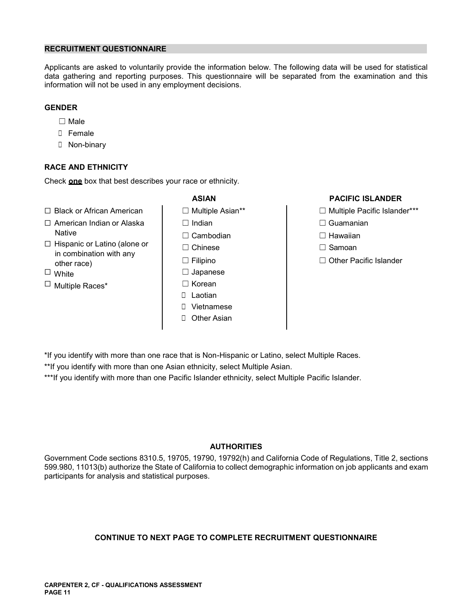#### **RECRUITMENT QUESTIONNAIRE**

Applicants are asked to voluntarily provide the information below. The following data will be used for statistical data gathering and reporting purposes. This questionnaire will be separated from the examination and this information will not be used in any employment decisions.

#### **GENDER**

- ☐ Male
- ☐ Female
- ☐ Non-binary

#### **RACE AND ETHNICITY**

Check **one** box that best describes your race or ethnicity.

- ☐ Black or African American ☐ Multiple Asian\*\* ☐ Multiple Pacific Islander\*\*\*
- ☐ American Indian or Alaska ☐ Indian ☐ Guamanian Native  $\Box$   $\Box$  Cambodian  $\Box$  Hawaiian
- ☐ Hispanic or Latino (alone or ☐ Chinese ☐ Samoan in combination with any ☐ Filipino other race) ☐ Other Pacific Islander
- 
- ☐ Multiple Races\* ☐ Korean
- 
- 
- 
- □ Japanese
- - ☐ Laotian
	- ☐ Vietnamese
	- □ Other Asian

#### **ASIAN PACIFIC ISLANDER**

- 
- 
- 
- 
- 

\*If you identify with more than one race that is Non-Hispanic or Latino, select Multiple Races.

\*\*If you identify with more than one Asian ethnicity, select Multiple Asian.

\*\*\*If you identify with more than one Pacific Islander ethnicity, select Multiple Pacific Islander.

#### **AUTHORITIES**

Government Code sections 8310.5, 19705, 19790, 19792(h) and California Code of Regulations, Title 2, sections 599.980, 11013(b) authorize the State of California to collect demographic information on job applicants and exam participants for analysis and statistical purposes.

### **CONTINUE TO NEXT PAGE TO COMPLETE RECRUITMENT QUESTIONNAIRE**